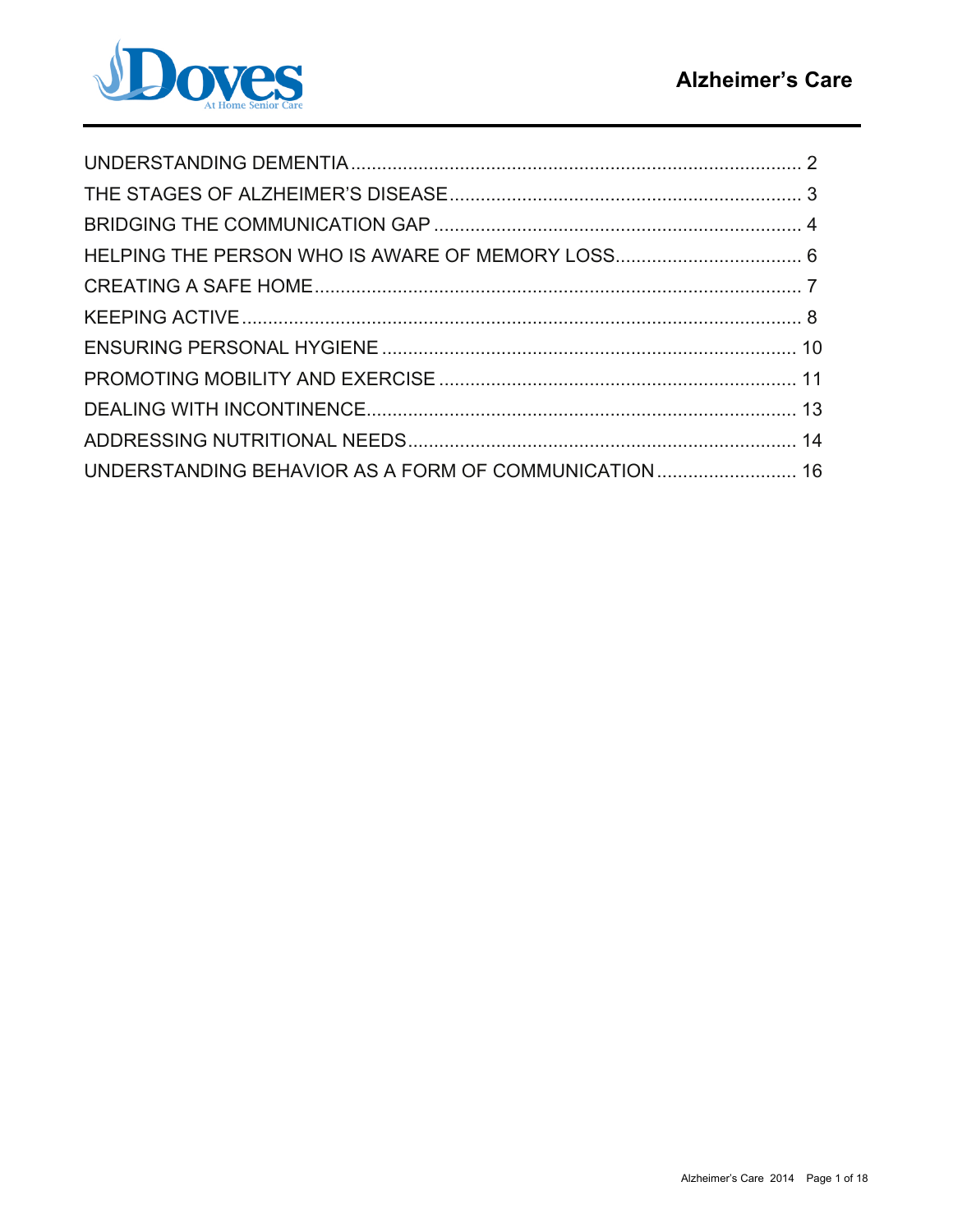

| UNDERSTANDING BEHAVIOR AS A FORM OF COMMUNICATION 16 |  |
|------------------------------------------------------|--|
|                                                      |  |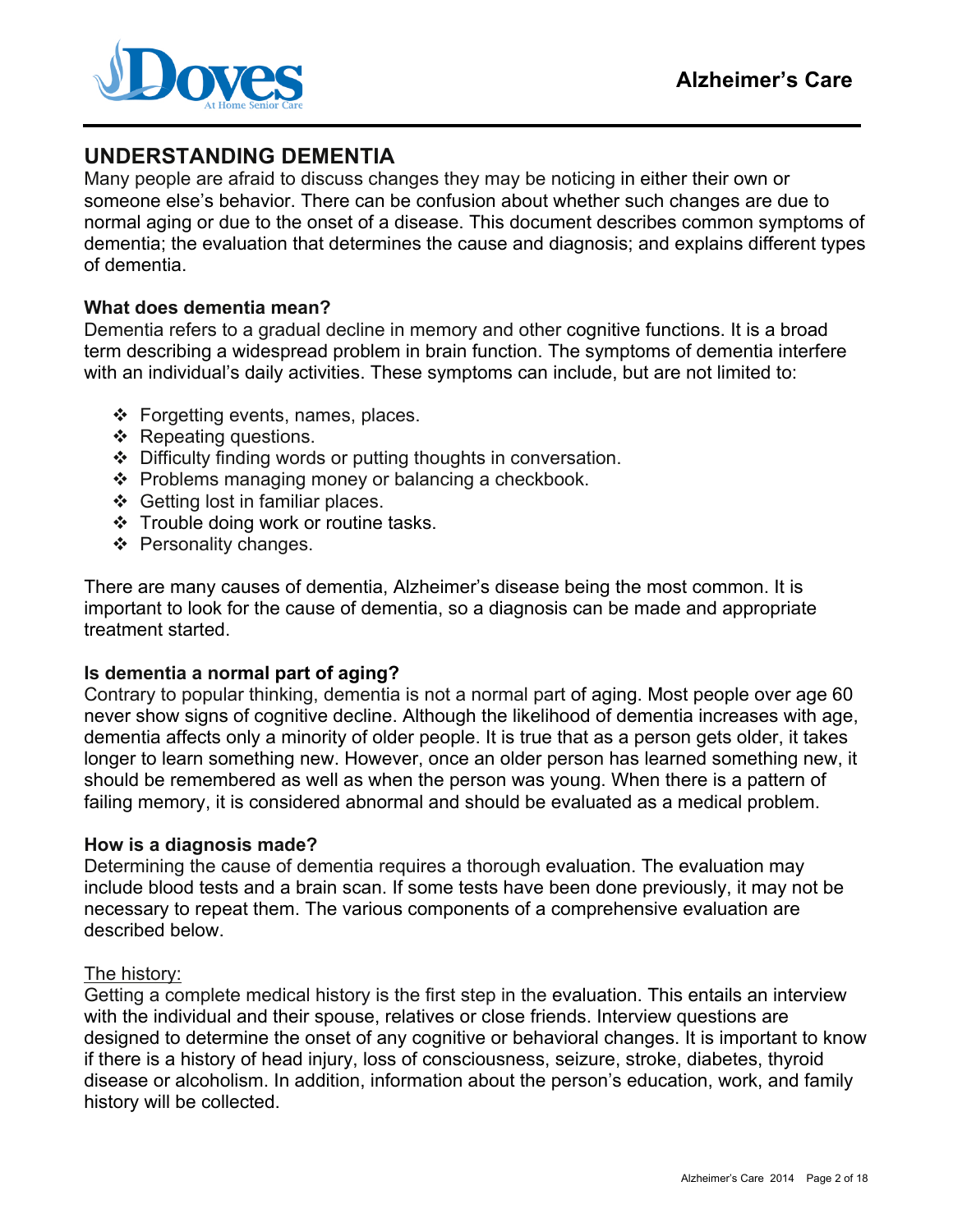

# **UNDERSTANDING DEMENTIA**

Many people are afraid to discuss changes they may be noticing in either their own or someone else's behavior. There can be confusion about whether such changes are due to normal aging or due to the onset of a disease. This document describes common symptoms of dementia; the evaluation that determines the cause and diagnosis; and explains different types of dementia.

#### **What does dementia mean?**

Dementia refers to a gradual decline in memory and other cognitive functions. It is a broad term describing a widespread problem in brain function. The symptoms of dementia interfere with an individual's daily activities. These symptoms can include, but are not limited to:

- $\div$  Forgetting events, names, places.
- ❖ Repeating questions.
- Difficulty finding words or putting thoughts in conversation.
- \* Problems managing money or balancing a checkbook.
- $\div$  Getting lost in familiar places.
- Trouble doing work or routine tasks.
- ❖ Personality changes.

There are many causes of dementia, Alzheimer's disease being the most common. It is important to look for the cause of dementia, so a diagnosis can be made and appropriate treatment started.

#### **Is dementia a normal part of aging?**

Contrary to popular thinking, dementia is not a normal part of aging. Most people over age 60 never show signs of cognitive decline. Although the likelihood of dementia increases with age, dementia affects only a minority of older people. It is true that as a person gets older, it takes longer to learn something new. However, once an older person has learned something new, it should be remembered as well as when the person was young. When there is a pattern of failing memory, it is considered abnormal and should be evaluated as a medical problem.

#### **How is a diagnosis made?**

Determining the cause of dementia requires a thorough evaluation. The evaluation may include blood tests and a brain scan. If some tests have been done previously, it may not be necessary to repeat them. The various components of a comprehensive evaluation are described below.

#### The history:

Getting a complete medical history is the first step in the evaluation. This entails an interview with the individual and their spouse, relatives or close friends. Interview questions are designed to determine the onset of any cognitive or behavioral changes. It is important to know if there is a history of head injury, loss of consciousness, seizure, stroke, diabetes, thyroid disease or alcoholism. In addition, information about the person's education, work, and family history will be collected.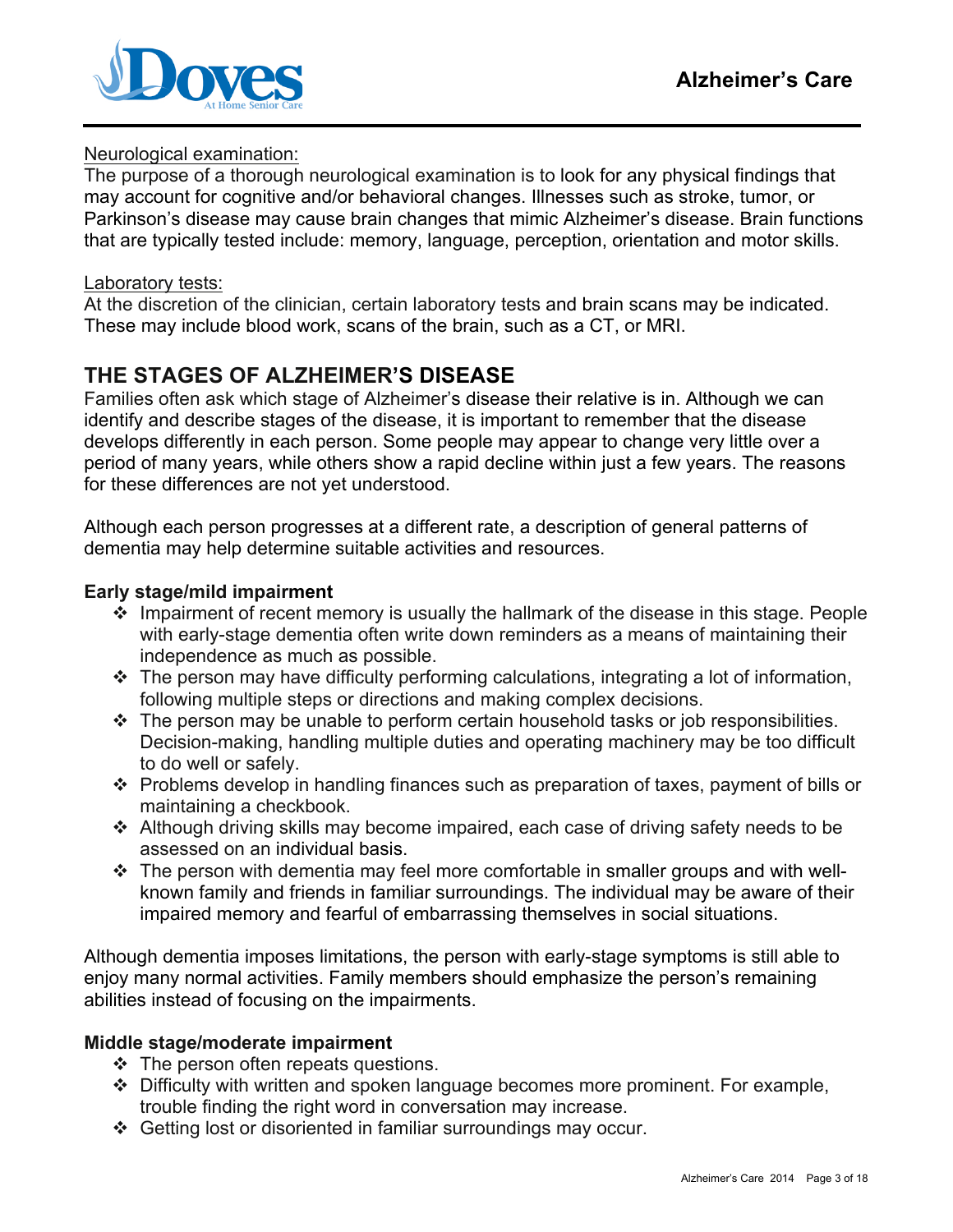

#### Neurological examination:

The purpose of a thorough neurological examination is to look for any physical findings that may account for cognitive and/or behavioral changes. Illnesses such as stroke, tumor, or Parkinson's disease may cause brain changes that mimic Alzheimer's disease. Brain functions that are typically tested include: memory, language, perception, orientation and motor skills.

#### Laboratory tests:

At the discretion of the clinician, certain laboratory tests and brain scans may be indicated. These may include blood work, scans of the brain, such as a CT, or MRI.

# **THE STAGES OF ALZHEIMER'S DISEASE**

Families often ask which stage of Alzheimer's disease their relative is in. Although we can identify and describe stages of the disease, it is important to remember that the disease develops differently in each person. Some people may appear to change very little over a period of many years, while others show a rapid decline within just a few years. The reasons for these differences are not yet understood.

Although each person progresses at a different rate, a description of general patterns of dementia may help determine suitable activities and resources.

#### **Early stage/mild impairment**

- Impairment of recent memory is usually the hallmark of the disease in this stage. People with early-stage dementia often write down reminders as a means of maintaining their independence as much as possible.
- $\cdot$  The person may have difficulty performing calculations, integrating a lot of information, following multiple steps or directions and making complex decisions.
- $\cdot$  The person may be unable to perform certain household tasks or job responsibilities. Decision-making, handling multiple duties and operating machinery may be too difficult to do well or safely.
- $\cdot$  Problems develop in handling finances such as preparation of taxes, payment of bills or maintaining a checkbook.
- Although driving skills may become impaired, each case of driving safety needs to be assessed on an individual basis.
- $\div$  The person with dementia may feel more comfortable in smaller groups and with wellknown family and friends in familiar surroundings. The individual may be aware of their impaired memory and fearful of embarrassing themselves in social situations.

Although dementia imposes limitations, the person with early-stage symptoms is still able to enjoy many normal activities. Family members should emphasize the person's remaining abilities instead of focusing on the impairments.

#### **Middle stage/moderate impairment**

- $\div$  The person often repeats questions.
- Difficulty with written and spoken language becomes more prominent. For example, trouble finding the right word in conversation may increase.
- Getting lost or disoriented in familiar surroundings may occur.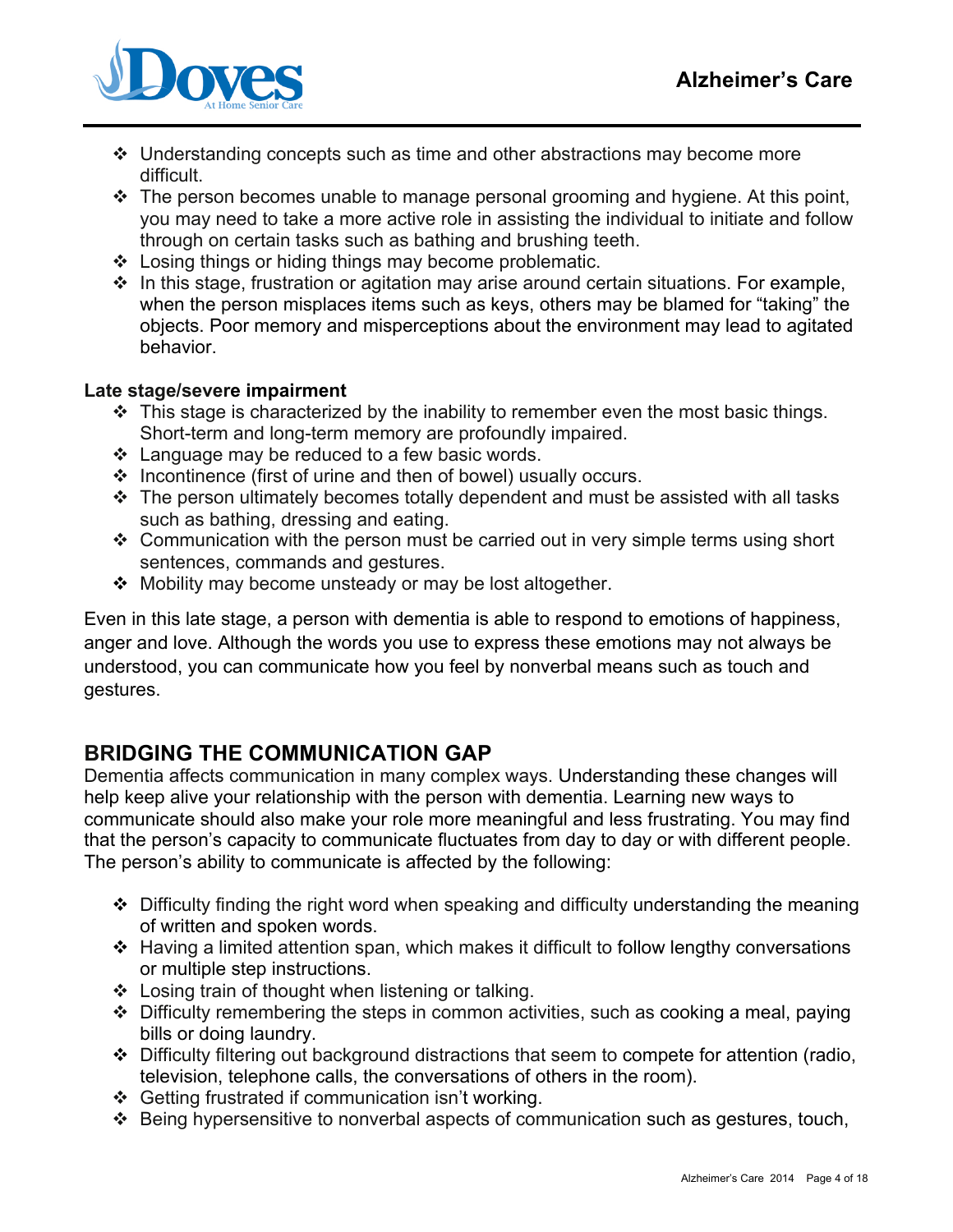

- Understanding concepts such as time and other abstractions may become more difficult.
- $\cdot \cdot$  The person becomes unable to manage personal grooming and hygiene. At this point, you may need to take a more active role in assisting the individual to initiate and follow through on certain tasks such as bathing and brushing teeth.
- Losing things or hiding things may become problematic.
- $\cdot$  In this stage, frustration or agitation may arise around certain situations. For example, when the person misplaces items such as keys, others may be blamed for "taking" the objects. Poor memory and misperceptions about the environment may lead to agitated behavior.

#### **Late stage/severe impairment**

- $\div$  This stage is characterized by the inability to remember even the most basic things. Short-term and long-term memory are profoundly impaired.
- $\div$  Language may be reduced to a few basic words.
- $\div$  Incontinence (first of urine and then of bowel) usually occurs.
- $\div$  The person ultimately becomes totally dependent and must be assisted with all tasks such as bathing, dressing and eating.
- $\div$  Communication with the person must be carried out in very simple terms using short sentences, commands and gestures.
- ❖ Mobility may become unsteady or may be lost altogether.

Even in this late stage, a person with dementia is able to respond to emotions of happiness, anger and love. Although the words you use to express these emotions may not always be understood, you can communicate how you feel by nonverbal means such as touch and gestures.

# **BRIDGING THE COMMUNICATION GAP**

Dementia affects communication in many complex ways. Understanding these changes will help keep alive your relationship with the person with dementia. Learning new ways to communicate should also make your role more meaningful and less frustrating. You may find that the person's capacity to communicate fluctuates from day to day or with different people. The person's ability to communicate is affected by the following:

- Difficulty finding the right word when speaking and difficulty understanding the meaning of written and spoken words.
- Having a limited attention span, which makes it difficult to follow lengthy conversations or multiple step instructions.
- $\div$  Losing train of thought when listening or talking.
- $\div$  Difficulty remembering the steps in common activities, such as cooking a meal, paying bills or doing laundry.
- Difficulty filtering out background distractions that seem to compete for attention (radio, television, telephone calls, the conversations of others in the room).
- Getting frustrated if communication isn't working.
- Being hypersensitive to nonverbal aspects of communication such as gestures, touch,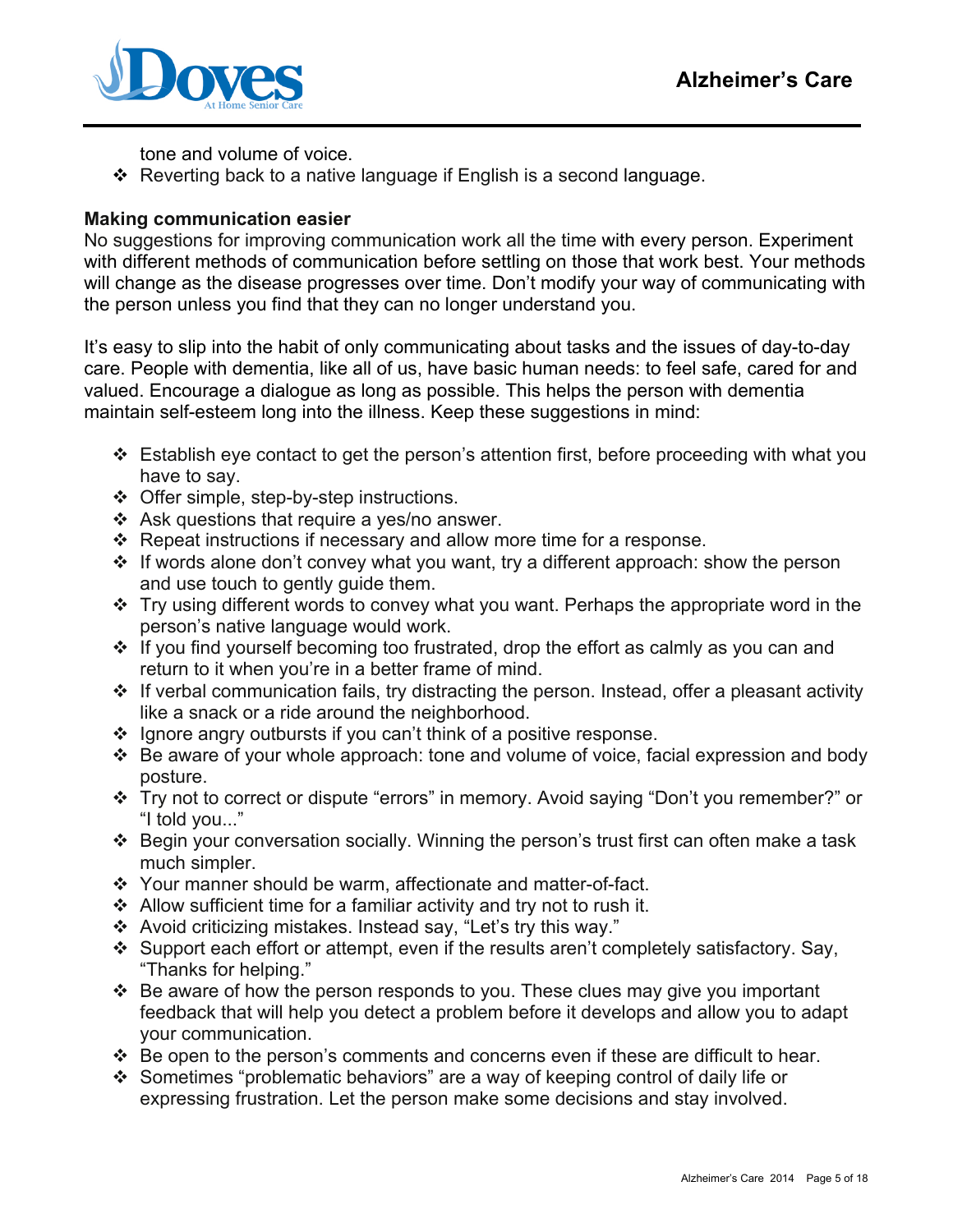

tone and volume of voice.

 $\div$  Reverting back to a native language if English is a second language.

#### **Making communication easier**

No suggestions for improving communication work all the time with every person. Experiment with different methods of communication before settling on those that work best. Your methods will change as the disease progresses over time. Don't modify your way of communicating with the person unless you find that they can no longer understand you.

It's easy to slip into the habit of only communicating about tasks and the issues of day-to-day care. People with dementia, like all of us, have basic human needs: to feel safe, cared for and valued. Encourage a dialogue as long as possible. This helps the person with dementia maintain self-esteem long into the illness. Keep these suggestions in mind:

- $\div$  Establish eye contact to get the person's attention first, before proceeding with what you have to say.
- ❖ Offer simple, step-by-step instructions.
- $\div$  Ask questions that require a yes/no answer.
- Repeat instructions if necessary and allow more time for a response.
- If words alone don't convey what you want, try a different approach: show the person and use touch to gently guide them.
- $\cdot$  Try using different words to convey what you want. Perhaps the appropriate word in the person's native language would work.
- $\cdot$  If you find yourself becoming too frustrated, drop the effort as calmly as you can and return to it when you're in a better frame of mind.
- $\cdot$  If verbal communication fails, try distracting the person. Instead, offer a pleasant activity like a snack or a ride around the neighborhood.
- $\cdot$  Ignore angry outbursts if you can't think of a positive response.
- Be aware of your whole approach: tone and volume of voice, facial expression and body posture.
- Try not to correct or dispute "errors" in memory. Avoid saying "Don't you remember?" or "I told you..."
- Begin your conversation socially. Winning the person's trust first can often make a task much simpler.
- Your manner should be warm, affectionate and matter-of-fact.
- $\div$  Allow sufficient time for a familiar activity and try not to rush it.
- Avoid criticizing mistakes. Instead say, "Let's try this way."
- \* Support each effort or attempt, even if the results aren't completely satisfactory. Say, "Thanks for helping."
- $\cdot$  Be aware of how the person responds to you. These clues may give you important feedback that will help you detect a problem before it develops and allow you to adapt your communication.
- $\div$  Be open to the person's comments and concerns even if these are difficult to hear.
- Sometimes "problematic behaviors" are a way of keeping control of daily life or expressing frustration. Let the person make some decisions and stay involved.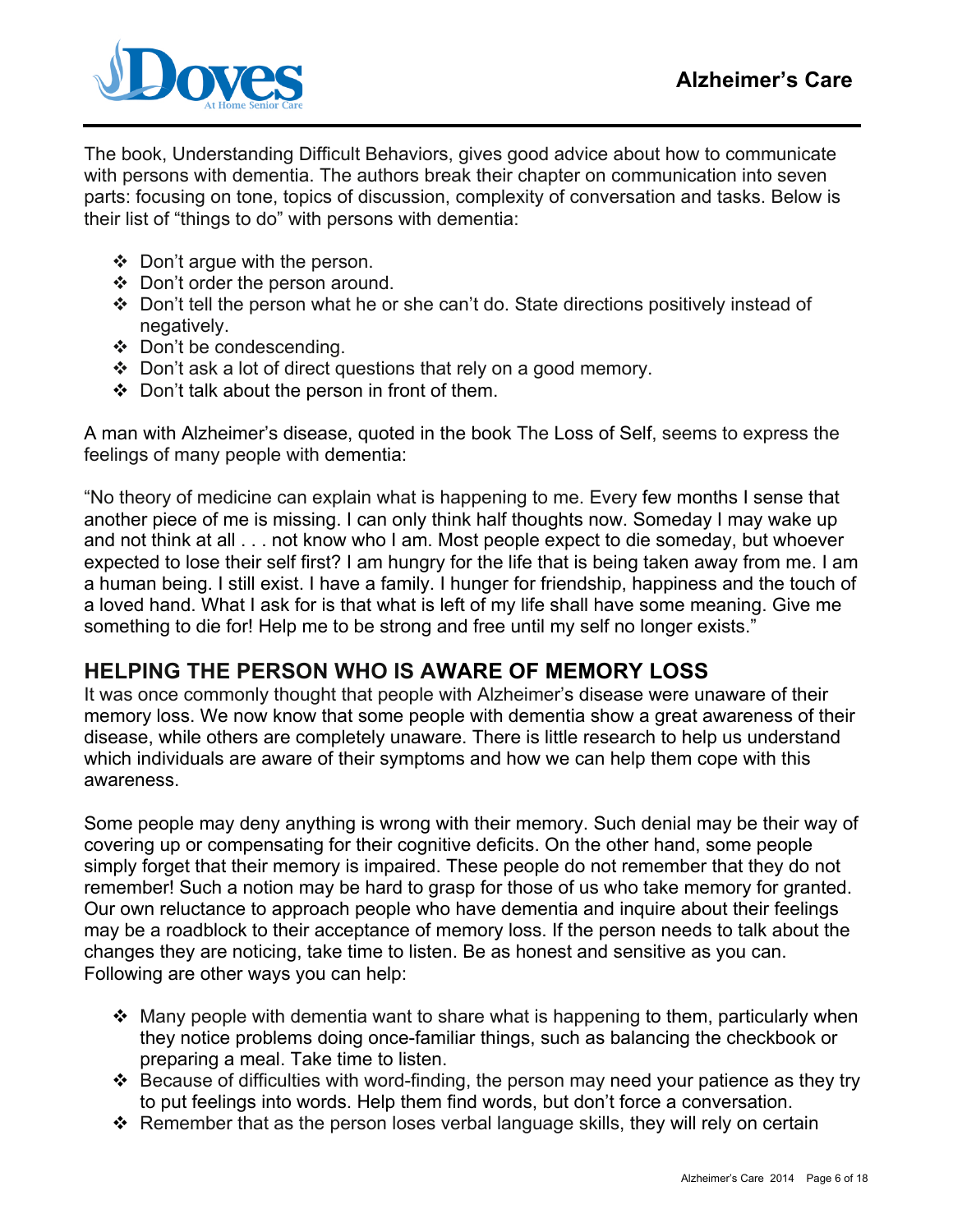

The book, Understanding Difficult Behaviors, gives good advice about how to communicate with persons with dementia. The authors break their chapter on communication into seven parts: focusing on tone, topics of discussion, complexity of conversation and tasks. Below is their list of "things to do" with persons with dementia:

- $\div$  Don't argue with the person.
- Don't order the person around.
- Don't tell the person what he or she can't do. State directions positively instead of negatively.
- Don't be condescending.
- Don't ask a lot of direct questions that rely on a good memory.
- $\div$  Don't talk about the person in front of them.

A man with Alzheimer's disease, quoted in the book The Loss of Self, seems to express the feelings of many people with dementia:

"No theory of medicine can explain what is happening to me. Every few months I sense that another piece of me is missing. I can only think half thoughts now. Someday I may wake up and not think at all . . . not know who I am. Most people expect to die someday, but whoever expected to lose their self first? I am hungry for the life that is being taken away from me. I am a human being. I still exist. I have a family. I hunger for friendship, happiness and the touch of a loved hand. What I ask for is that what is left of my life shall have some meaning. Give me something to die for! Help me to be strong and free until my self no longer exists."

# **HELPING THE PERSON WHO IS AWARE OF MEMORY LOSS**

It was once commonly thought that people with Alzheimer's disease were unaware of their memory loss. We now know that some people with dementia show a great awareness of their disease, while others are completely unaware. There is little research to help us understand which individuals are aware of their symptoms and how we can help them cope with this awareness.

Some people may deny anything is wrong with their memory. Such denial may be their way of covering up or compensating for their cognitive deficits. On the other hand, some people simply forget that their memory is impaired. These people do not remember that they do not remember! Such a notion may be hard to grasp for those of us who take memory for granted. Our own reluctance to approach people who have dementia and inquire about their feelings may be a roadblock to their acceptance of memory loss. If the person needs to talk about the changes they are noticing, take time to listen. Be as honest and sensitive as you can. Following are other ways you can help:

- $\cdot$  Many people with dementia want to share what is happening to them, particularly when they notice problems doing once-familiar things, such as balancing the checkbook or preparing a meal. Take time to listen.
- $\div$  Because of difficulties with word-finding, the person may need your patience as they try to put feelings into words. Help them find words, but don't force a conversation.
- $\div$  Remember that as the person loses verbal language skills, they will rely on certain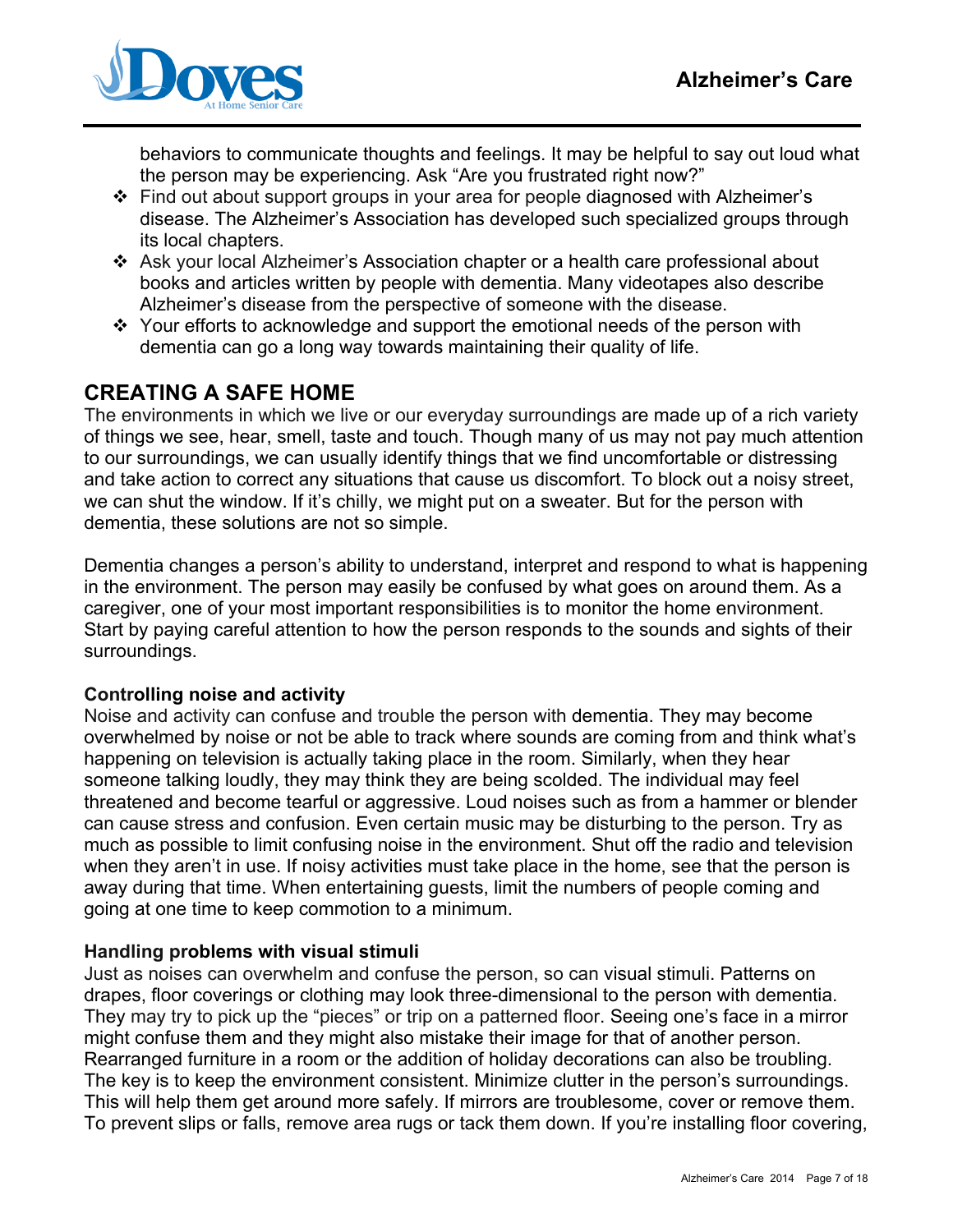

behaviors to communicate thoughts and feelings. It may be helpful to say out loud what the person may be experiencing. Ask "Are you frustrated right now?"

- Find out about support groups in your area for people diagnosed with Alzheimer's disease. The Alzheimer's Association has developed such specialized groups through its local chapters.
- Ask your local Alzheimer's Association chapter or a health care professional about books and articles written by people with dementia. Many videotapes also describe Alzheimer's disease from the perspective of someone with the disease.
- $\div$  Your efforts to acknowledge and support the emotional needs of the person with dementia can go a long way towards maintaining their quality of life.

# **CREATING A SAFE HOME**

The environments in which we live or our everyday surroundings are made up of a rich variety of things we see, hear, smell, taste and touch. Though many of us may not pay much attention to our surroundings, we can usually identify things that we find uncomfortable or distressing and take action to correct any situations that cause us discomfort. To block out a noisy street, we can shut the window. If it's chilly, we might put on a sweater. But for the person with dementia, these solutions are not so simple.

Dementia changes a person's ability to understand, interpret and respond to what is happening in the environment. The person may easily be confused by what goes on around them. As a caregiver, one of your most important responsibilities is to monitor the home environment. Start by paying careful attention to how the person responds to the sounds and sights of their surroundings.

#### **Controlling noise and activity**

Noise and activity can confuse and trouble the person with dementia. They may become overwhelmed by noise or not be able to track where sounds are coming from and think what's happening on television is actually taking place in the room. Similarly, when they hear someone talking loudly, they may think they are being scolded. The individual may feel threatened and become tearful or aggressive. Loud noises such as from a hammer or blender can cause stress and confusion. Even certain music may be disturbing to the person. Try as much as possible to limit confusing noise in the environment. Shut off the radio and television when they aren't in use. If noisy activities must take place in the home, see that the person is away during that time. When entertaining guests, limit the numbers of people coming and going at one time to keep commotion to a minimum.

#### **Handling problems with visual stimuli**

Just as noises can overwhelm and confuse the person, so can visual stimuli. Patterns on drapes, floor coverings or clothing may look three-dimensional to the person with dementia. They may try to pick up the "pieces" or trip on a patterned floor. Seeing one's face in a mirror might confuse them and they might also mistake their image for that of another person. Rearranged furniture in a room or the addition of holiday decorations can also be troubling. The key is to keep the environment consistent. Minimize clutter in the person's surroundings. This will help them get around more safely. If mirrors are troublesome, cover or remove them. To prevent slips or falls, remove area rugs or tack them down. If you're installing floor covering,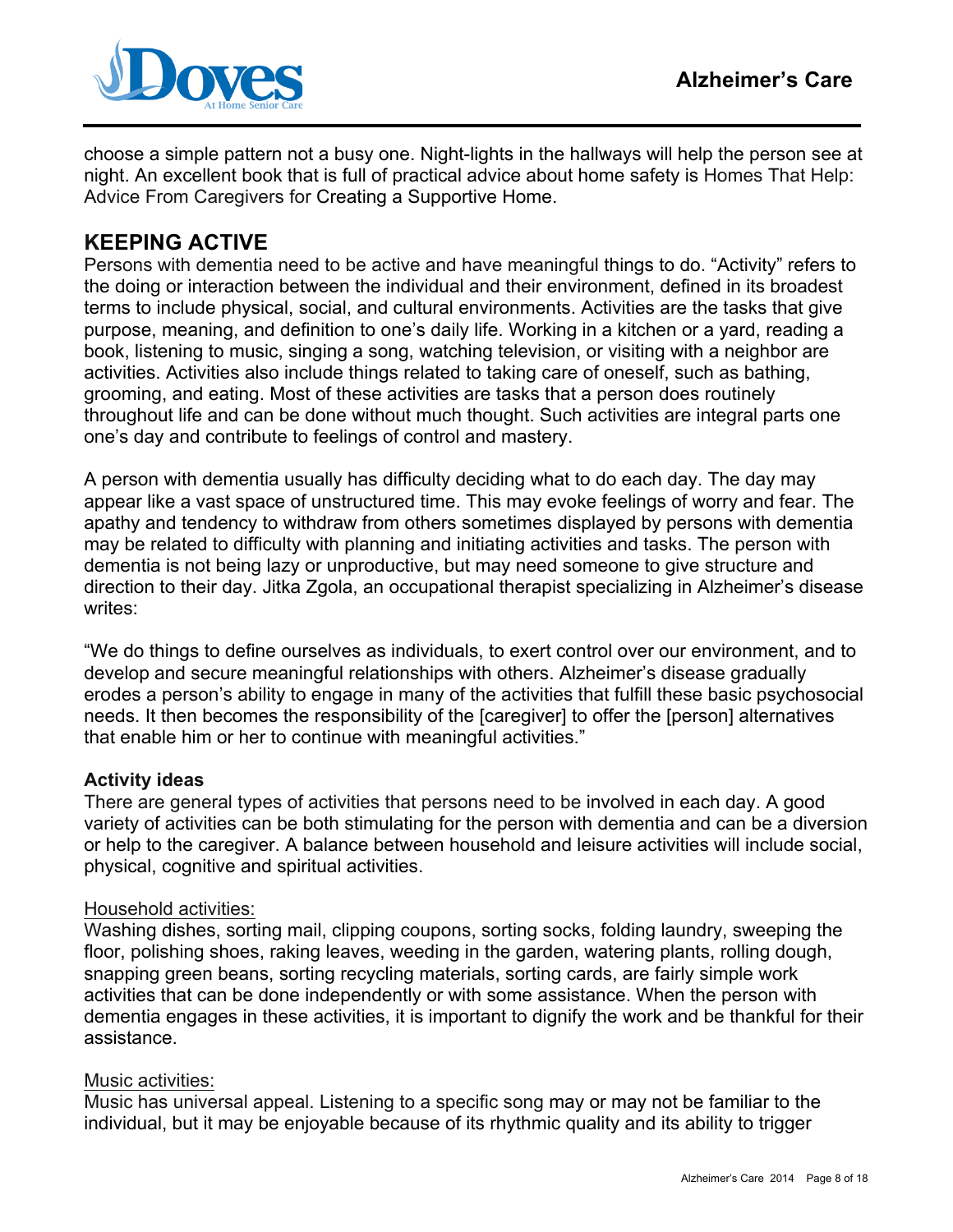

choose a simple pattern not a busy one. Night-lights in the hallways will help the person see at night. An excellent book that is full of practical advice about home safety is Homes That Help: Advice From Caregivers for Creating a Supportive Home.

# **KEEPING ACTIVE**

Persons with dementia need to be active and have meaningful things to do. "Activity" refers to the doing or interaction between the individual and their environment, defined in its broadest terms to include physical, social, and cultural environments. Activities are the tasks that give purpose, meaning, and definition to one's daily life. Working in a kitchen or a yard, reading a book, listening to music, singing a song, watching television, or visiting with a neighbor are activities. Activities also include things related to taking care of oneself, such as bathing, grooming, and eating. Most of these activities are tasks that a person does routinely throughout life and can be done without much thought. Such activities are integral parts one one's day and contribute to feelings of control and mastery.

A person with dementia usually has difficulty deciding what to do each day. The day may appear like a vast space of unstructured time. This may evoke feelings of worry and fear. The apathy and tendency to withdraw from others sometimes displayed by persons with dementia may be related to difficulty with planning and initiating activities and tasks. The person with dementia is not being lazy or unproductive, but may need someone to give structure and direction to their day. Jitka Zgola, an occupational therapist specializing in Alzheimer's disease writes:

"We do things to define ourselves as individuals, to exert control over our environment, and to develop and secure meaningful relationships with others. Alzheimer's disease gradually erodes a person's ability to engage in many of the activities that fulfill these basic psychosocial needs. It then becomes the responsibility of the [caregiver] to offer the [person] alternatives that enable him or her to continue with meaningful activities."

#### **Activity ideas**

There are general types of activities that persons need to be involved in each day. A good variety of activities can be both stimulating for the person with dementia and can be a diversion or help to the caregiver. A balance between household and leisure activities will include social, physical, cognitive and spiritual activities.

#### Household activities:

Washing dishes, sorting mail, clipping coupons, sorting socks, folding laundry, sweeping the floor, polishing shoes, raking leaves, weeding in the garden, watering plants, rolling dough, snapping green beans, sorting recycling materials, sorting cards, are fairly simple work activities that can be done independently or with some assistance. When the person with dementia engages in these activities, it is important to dignify the work and be thankful for their assistance.

#### Music activities:

Music has universal appeal. Listening to a specific song may or may not be familiar to the individual, but it may be enjoyable because of its rhythmic quality and its ability to trigger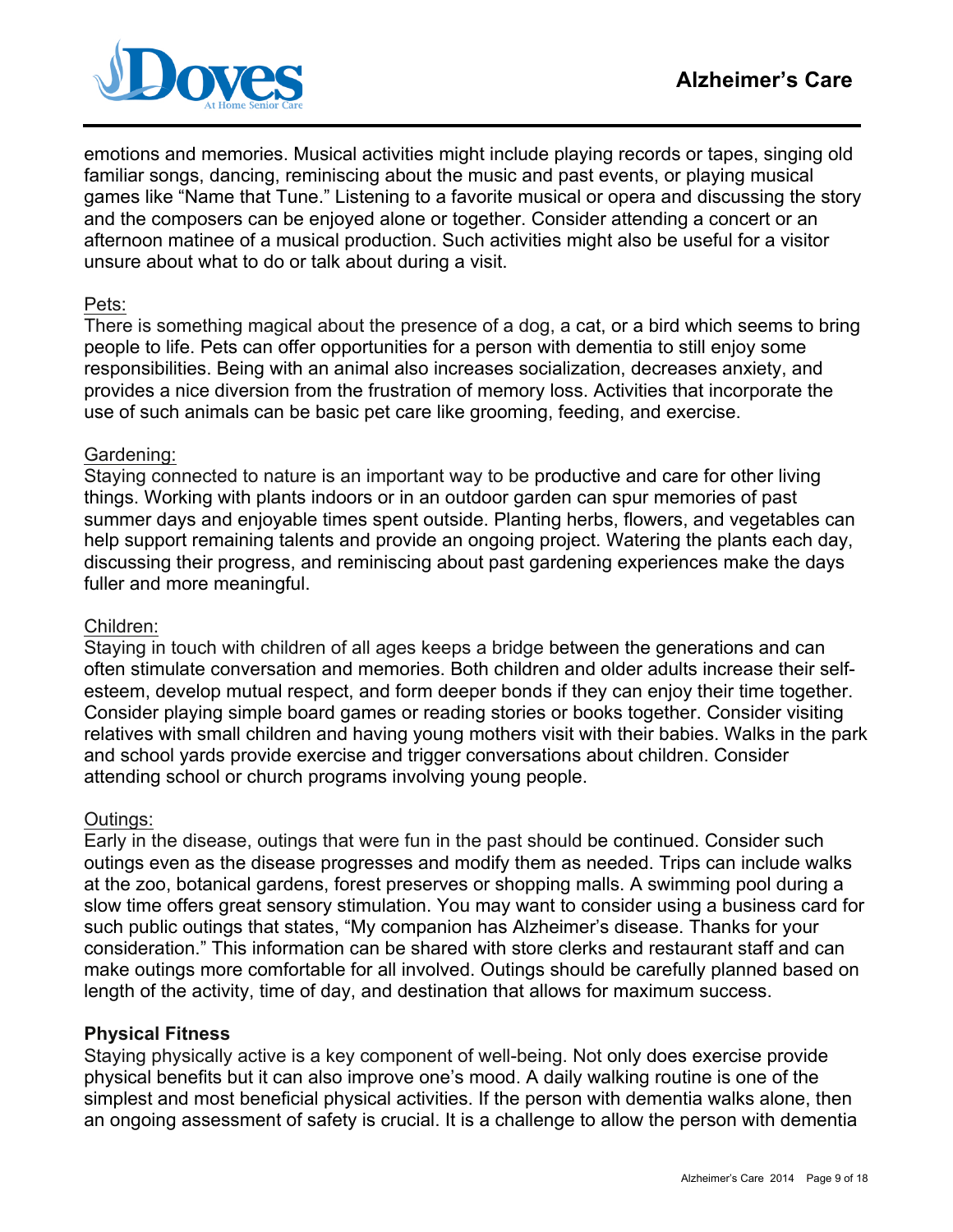

emotions and memories. Musical activities might include playing records or tapes, singing old familiar songs, dancing, reminiscing about the music and past events, or playing musical games like "Name that Tune." Listening to a favorite musical or opera and discussing the story and the composers can be enjoyed alone or together. Consider attending a concert or an afternoon matinee of a musical production. Such activities might also be useful for a visitor unsure about what to do or talk about during a visit.

#### Pets:

There is something magical about the presence of a dog, a cat, or a bird which seems to bring people to life. Pets can offer opportunities for a person with dementia to still enjoy some responsibilities. Being with an animal also increases socialization, decreases anxiety, and provides a nice diversion from the frustration of memory loss. Activities that incorporate the use of such animals can be basic pet care like grooming, feeding, and exercise.

#### Gardening:

Staying connected to nature is an important way to be productive and care for other living things. Working with plants indoors or in an outdoor garden can spur memories of past summer days and enjoyable times spent outside. Planting herbs, flowers, and vegetables can help support remaining talents and provide an ongoing project. Watering the plants each day, discussing their progress, and reminiscing about past gardening experiences make the days fuller and more meaningful.

#### Children:

Staying in touch with children of all ages keeps a bridge between the generations and can often stimulate conversation and memories. Both children and older adults increase their selfesteem, develop mutual respect, and form deeper bonds if they can enjoy their time together. Consider playing simple board games or reading stories or books together. Consider visiting relatives with small children and having young mothers visit with their babies. Walks in the park and school yards provide exercise and trigger conversations about children. Consider attending school or church programs involving young people.

#### Outings:

Early in the disease, outings that were fun in the past should be continued. Consider such outings even as the disease progresses and modify them as needed. Trips can include walks at the zoo, botanical gardens, forest preserves or shopping malls. A swimming pool during a slow time offers great sensory stimulation. You may want to consider using a business card for such public outings that states, "My companion has Alzheimer's disease. Thanks for your consideration." This information can be shared with store clerks and restaurant staff and can make outings more comfortable for all involved. Outings should be carefully planned based on length of the activity, time of day, and destination that allows for maximum success.

#### **Physical Fitness**

Staying physically active is a key component of well-being. Not only does exercise provide physical benefits but it can also improve one's mood. A daily walking routine is one of the simplest and most beneficial physical activities. If the person with dementia walks alone, then an ongoing assessment of safety is crucial. It is a challenge to allow the person with dementia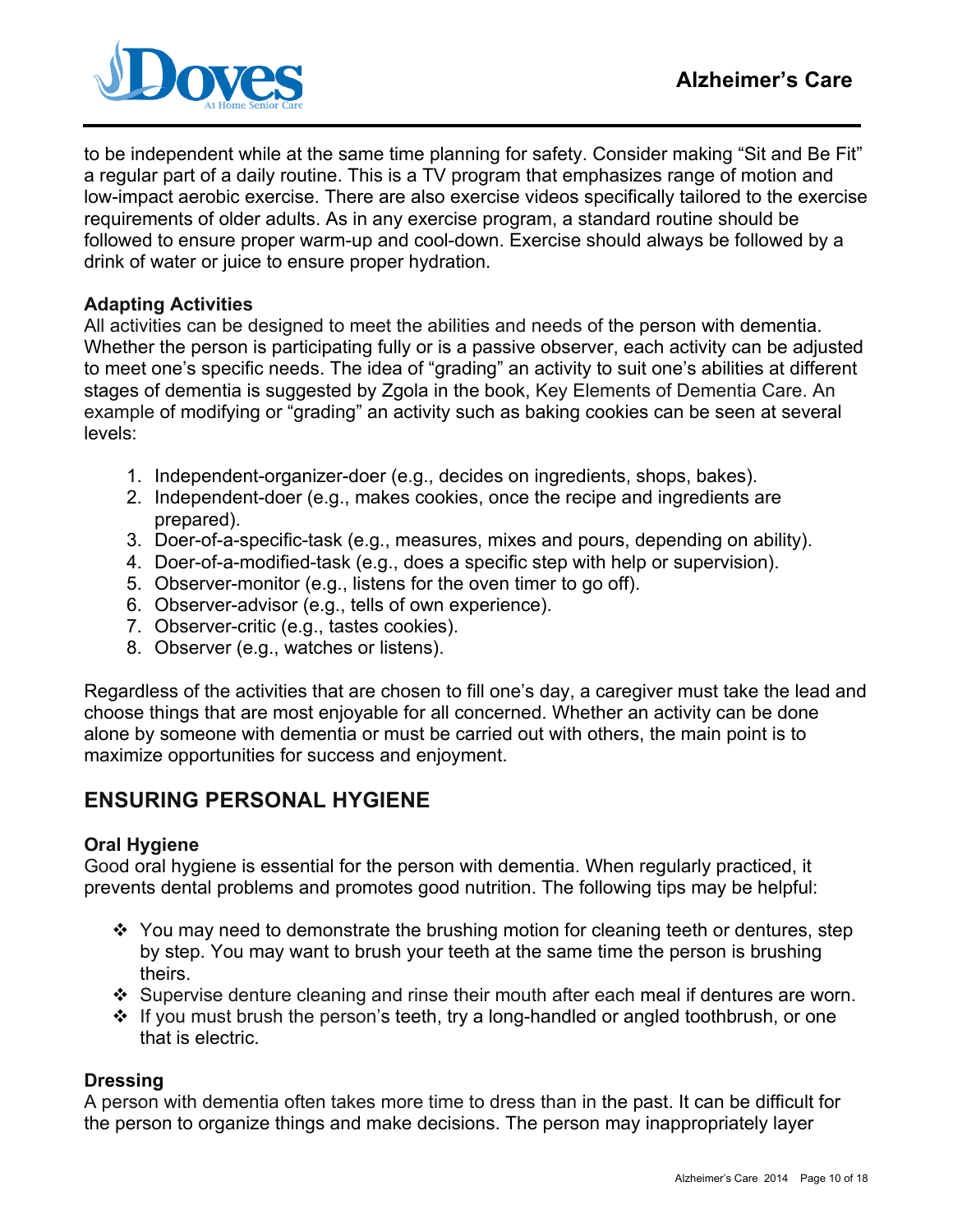

to be independent while at the same time planning for safety. Consider making "Sit and Be Fit" a regular part of a daily routine. This is a TV program that emphasizes range of motion and low-impact aerobic exercise. There are also exercise videos specifically tailored to the exercise requirements of older adults. As in any exercise program, a standard routine should be followed to ensure proper warm-up and cool-down. Exercise should always be followed by a drink of water or juice to ensure proper hydration.

#### **Adapting Activities**

All activities can be designed to meet the abilities and needs of the person with dementia. Whether the person is participating fully or is a passive observer, each activity can be adjusted to meet one's specific needs. The idea of "grading" an activity to suit one's abilities at different stages of dementia is suggested by Zgola in the book, Key Elements of Dementia Care. An example of modifying or "grading" an activity such as baking cookies can be seen at several levels:

- 1. Independent-organizer-doer (e.g., decides on ingredients, shops, bakes).
- 2. Independent-doer (e.g., makes cookies, once the recipe and ingredients are prepared).
- 3. Doer-of-a-specific-task (e.g., measures, mixes and pours, depending on ability).
- 4. Doer-of-a-modified-task (e.g., does a specific step with help or supervision).
- 5. Observer-monitor (e.g., listens for the oven timer to go off).
- 6. Observer-advisor (e.g., tells of own experience).
- 7. Observer-critic (e.g., tastes cookies).
- 8. Observer (e.g., watches or listens).

Regardless of the activities that are chosen to fill one's day, a caregiver must take the lead and choose things that are most enjoyable for all concerned. Whether an activity can be done alone by someone with dementia or must be carried out with others, the main point is to maximize opportunities for success and enjoyment.

# **ENSURING PERSONAL HYGIENE**

#### **Oral Hygiene**

Good oral hygiene is essential for the person with dementia. When regularly practiced, it prevents dental problems and promotes good nutrition. The following tips may be helpful:

- \* You may need to demonstrate the brushing motion for cleaning teeth or dentures, step by step. You may want to brush your teeth at the same time the person is brushing theirs.
- $\div$  Supervise denture cleaning and rinse their mouth after each meal if dentures are worn.
- $\div$  If you must brush the person's teeth, try a long-handled or angled toothbrush, or one that is electric.

#### **Dressing**

A person with dementia often takes more time to dress than in the past. It can be difficult for the person to organize things and make decisions. The person may inappropriately layer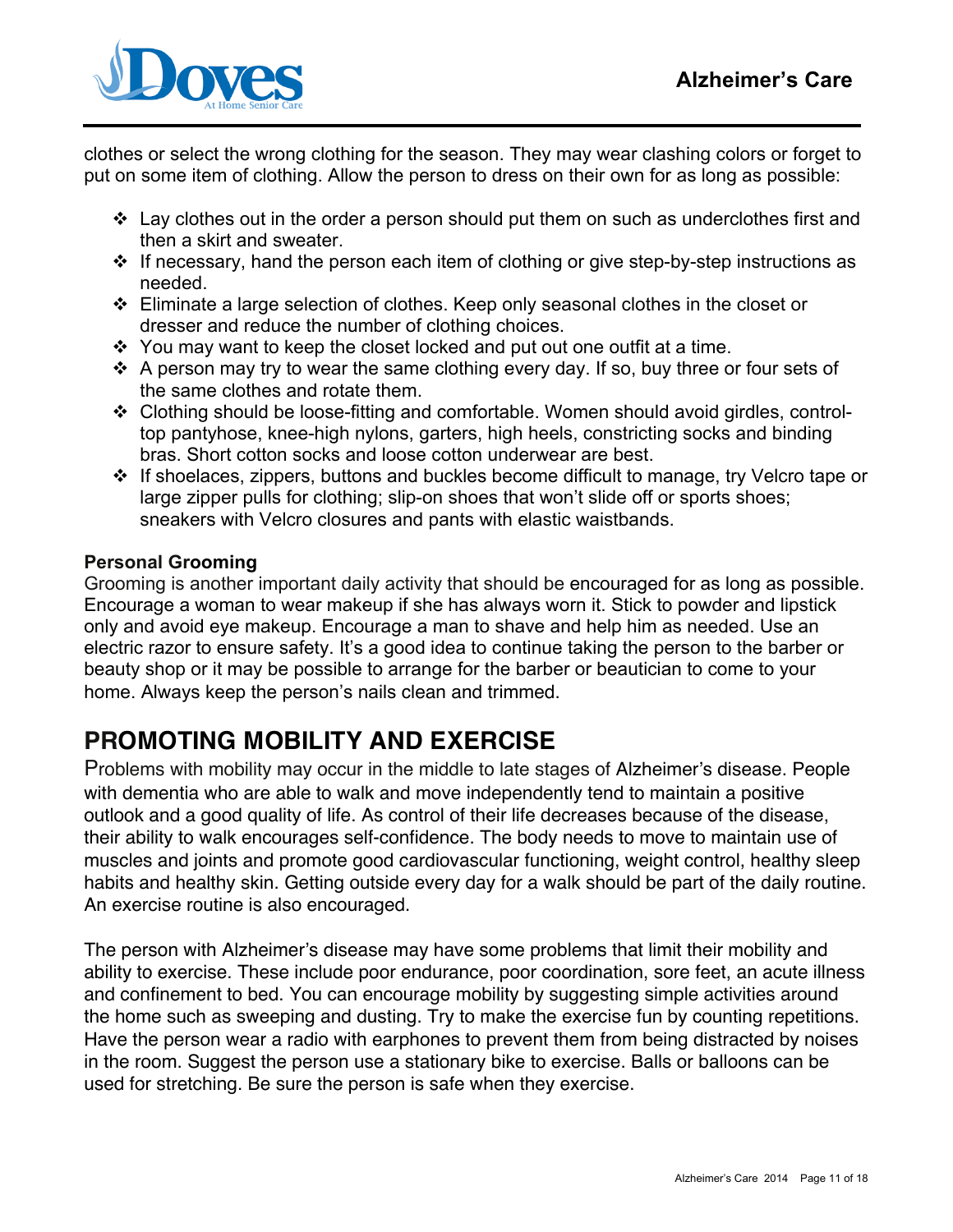

clothes or select the wrong clothing for the season. They may wear clashing colors or forget to put on some item of clothing. Allow the person to dress on their own for as long as possible:

- $\cdot$  Lay clothes out in the order a person should put them on such as underclothes first and then a skirt and sweater.
- $\cdot$  If necessary, hand the person each item of clothing or give step-by-step instructions as needed.
- $\div$  Eliminate a large selection of clothes. Keep only seasonal clothes in the closet or dresser and reduce the number of clothing choices.
- $\div$  You may want to keep the closet locked and put out one outfit at a time.
- $\hat{P}$  A person may try to wear the same clothing every day. If so, buy three or four sets of the same clothes and rotate them.
- Clothing should be loose-fitting and comfortable. Women should avoid girdles, controltop pantyhose, knee-high nylons, garters, high heels, constricting socks and binding bras. Short cotton socks and loose cotton underwear are best.
- If shoelaces, zippers, buttons and buckles become difficult to manage, try Velcro tape or large zipper pulls for clothing; slip-on shoes that won't slide off or sports shoes; sneakers with Velcro closures and pants with elastic waistbands.

## **Personal Grooming**

Grooming is another important daily activity that should be encouraged for as long as possible. Encourage a woman to wear makeup if she has always worn it. Stick to powder and lipstick only and avoid eye makeup. Encourage a man to shave and help him as needed. Use an electric razor to ensure safety. It's a good idea to continue taking the person to the barber or beauty shop or it may be possible to arrange for the barber or beautician to come to your home. Always keep the person's nails clean and trimmed.

# **PROMOTING MOBILITY AND EXERCISE**

Problems with mobility may occur in the middle to late stages of Alzheimer's disease. People with dementia who are able to walk and move independently tend to maintain a positive outlook and a good quality of life. As control of their life decreases because of the disease, their ability to walk encourages self-confidence. The body needs to move to maintain use of muscles and joints and promote good cardiovascular functioning, weight control, healthy sleep habits and healthy skin. Getting outside every day for a walk should be part of the daily routine. An exercise routine is also encouraged.

The person with Alzheimer's disease may have some problems that limit their mobility and ability to exercise. These include poor endurance, poor coordination, sore feet, an acute illness and confinement to bed. You can encourage mobility by suggesting simple activities around the home such as sweeping and dusting. Try to make the exercise fun by counting repetitions. Have the person wear a radio with earphones to prevent them from being distracted by noises in the room. Suggest the person use a stationary bike to exercise. Balls or balloons can be used for stretching. Be sure the person is safe when they exercise.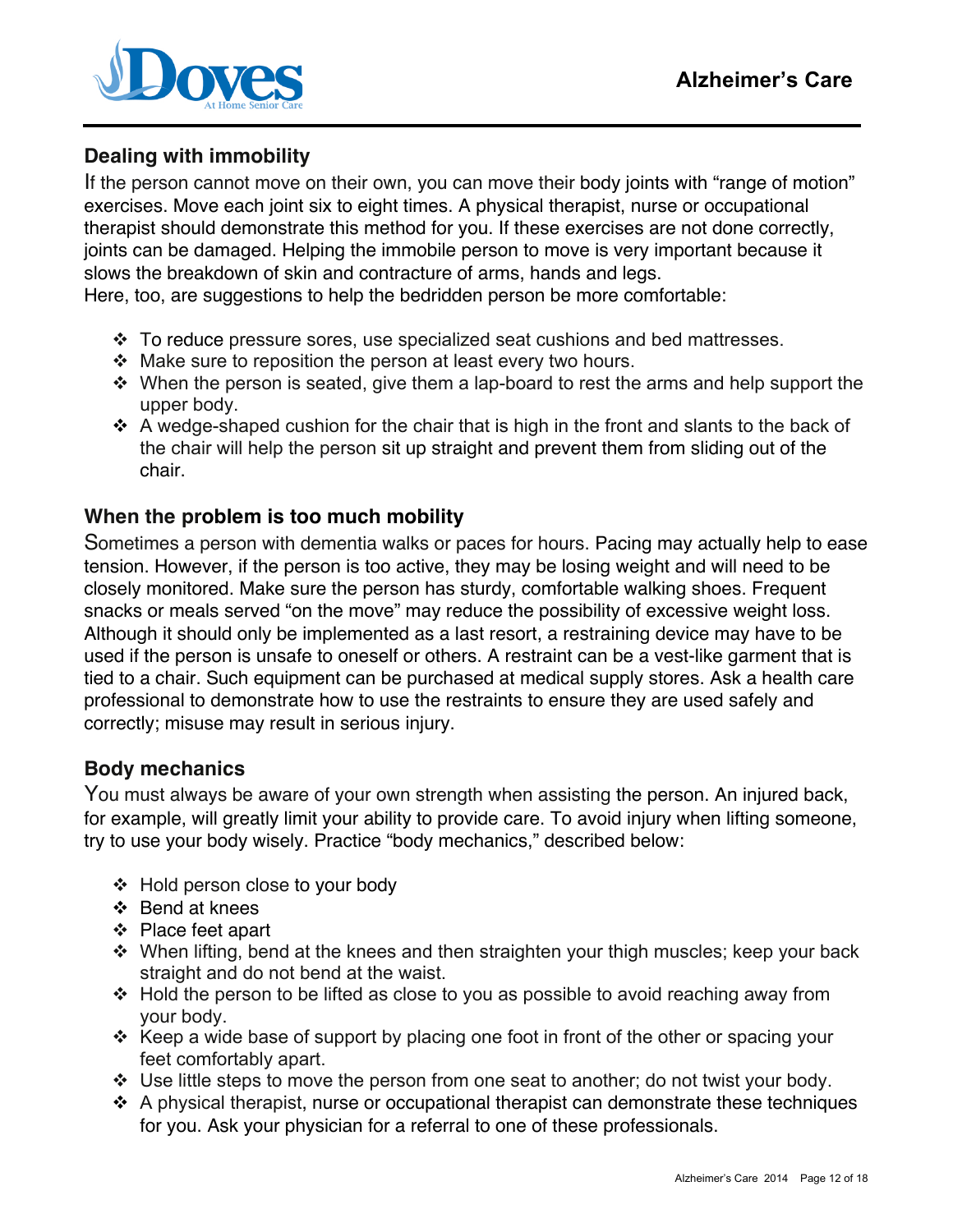

# **Dealing with immobility**

If the person cannot move on their own, you can move their body joints with "range of motion" exercises. Move each joint six to eight times. A physical therapist, nurse or occupational therapist should demonstrate this method for you. If these exercises are not done correctly, joints can be damaged. Helping the immobile person to move is very important because it slows the breakdown of skin and contracture of arms, hands and legs.

Here, too, are suggestions to help the bedridden person be more comfortable:

- $\div$  To reduce pressure sores, use specialized seat cushions and bed mattresses.
- $\div$  Make sure to reposition the person at least every two hours.
- $\cdot$  When the person is seated, give them a lap-board to rest the arms and help support the upper body.
- $\div$  A wedge-shaped cushion for the chair that is high in the front and slants to the back of the chair will help the person sit up straight and prevent them from sliding out of the chair.

## **When the problem is too much mobility**

Sometimes a person with dementia walks or paces for hours. Pacing may actually help to ease tension. However, if the person is too active, they may be losing weight and will need to be closely monitored. Make sure the person has sturdy, comfortable walking shoes. Frequent snacks or meals served "on the move" may reduce the possibility of excessive weight loss. Although it should only be implemented as a last resort, a restraining device may have to be used if the person is unsafe to oneself or others. A restraint can be a vest-like garment that is tied to a chair. Such equipment can be purchased at medical supply stores. Ask a health care professional to demonstrate how to use the restraints to ensure they are used safely and correctly; misuse may result in serious injury.

## **Body mechanics**

You must always be aware of your own strength when assisting the person. An injured back, for example, will greatly limit your ability to provide care. To avoid injury when lifting someone, try to use your body wisely. Practice "body mechanics," described below:

- Hold person close to your body
- ❖ Bend at knees
- ❖ Place feet apart
- $\cdot$  When lifting, bend at the knees and then straighten your thigh muscles; keep your back straight and do not bend at the waist.
- $\div$  Hold the person to be lifted as close to you as possible to avoid reaching away from your body.
- $\cdot$  Keep a wide base of support by placing one foot in front of the other or spacing your feet comfortably apart.
- $\div$  Use little steps to move the person from one seat to another; do not twist your body.
- $\div$  A physical therapist, nurse or occupational therapist can demonstrate these techniques for you. Ask your physician for a referral to one of these professionals.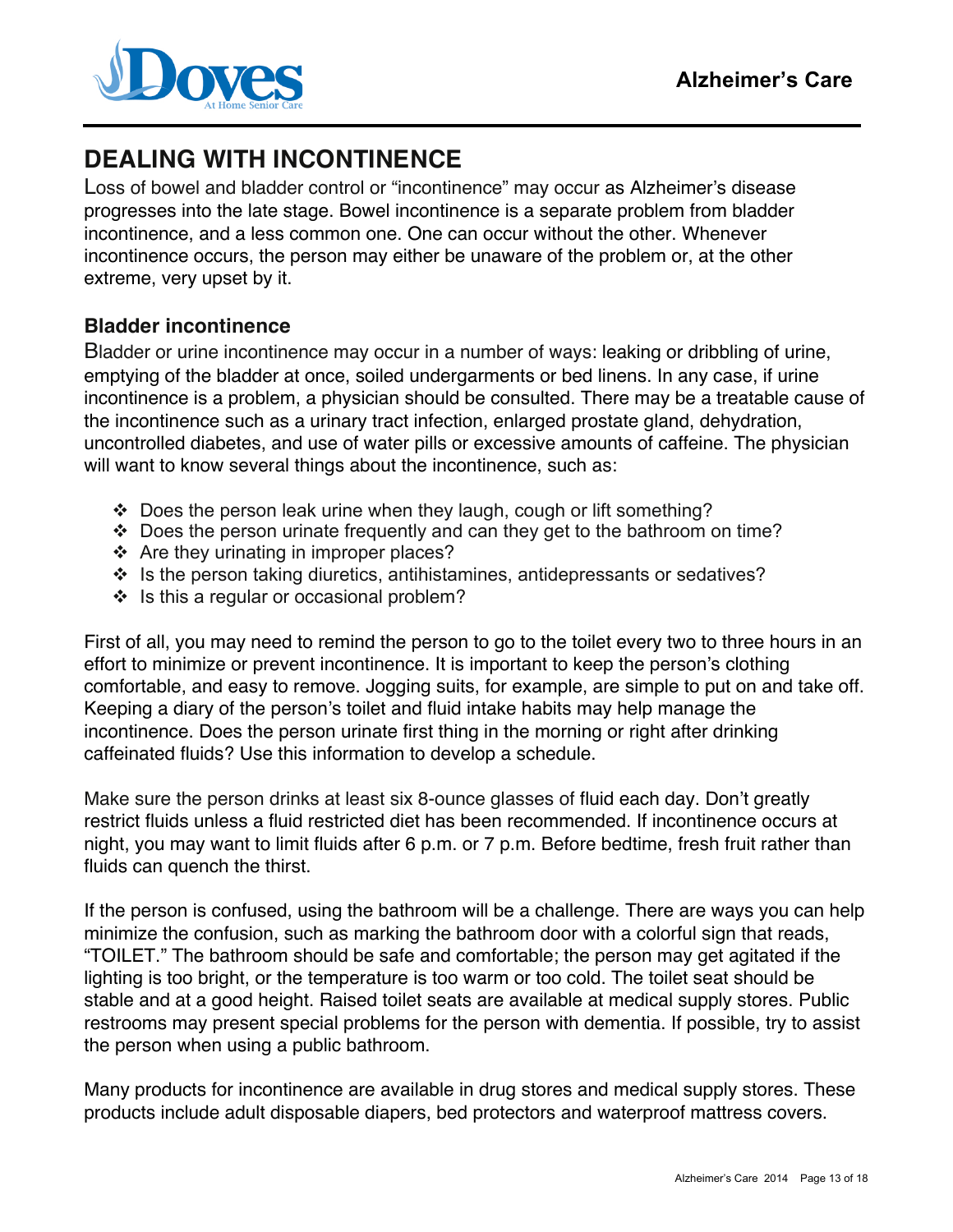

# **DEALING WITH INCONTINENCE**

Loss of bowel and bladder control or "incontinence" may occur as Alzheimer's disease progresses into the late stage. Bowel incontinence is a separate problem from bladder incontinence, and a less common one. One can occur without the other. Whenever incontinence occurs, the person may either be unaware of the problem or, at the other extreme, very upset by it.

# **Bladder incontinence**

Bladder or urine incontinence may occur in a number of ways: leaking or dribbling of urine, emptying of the bladder at once, soiled undergarments or bed linens. In any case, if urine incontinence is a problem, a physician should be consulted. There may be a treatable cause of the incontinence such as a urinary tract infection, enlarged prostate gland, dehydration, uncontrolled diabetes, and use of water pills or excessive amounts of caffeine. The physician will want to know several things about the incontinence, such as:

- $\div$  Does the person leak urine when they laugh, cough or lift something?
- Does the person urinate frequently and can they get to the bathroom on time?
- ❖ Are they urinating in improper places?
- $\div$  Is the person taking diuretics, antihistamines, antidepressants or sedatives?
- $\cdot \cdot$  Is this a regular or occasional problem?

First of all, you may need to remind the person to go to the toilet every two to three hours in an effort to minimize or prevent incontinence. It is important to keep the person's clothing comfortable, and easy to remove. Jogging suits, for example, are simple to put on and take off. Keeping a diary of the person's toilet and fluid intake habits may help manage the incontinence. Does the person urinate first thing in the morning or right after drinking caffeinated fluids? Use this information to develop a schedule.

Make sure the person drinks at least six 8-ounce glasses of fluid each day. Don't greatly restrict fluids unless a fluid restricted diet has been recommended. If incontinence occurs at night, you may want to limit fluids after 6 p.m. or 7 p.m. Before bedtime, fresh fruit rather than fluids can quench the thirst.

If the person is confused, using the bathroom will be a challenge. There are ways you can help minimize the confusion, such as marking the bathroom door with a colorful sign that reads, "TOILET." The bathroom should be safe and comfortable; the person may get agitated if the lighting is too bright, or the temperature is too warm or too cold. The toilet seat should be stable and at a good height. Raised toilet seats are available at medical supply stores. Public restrooms may present special problems for the person with dementia. If possible, try to assist the person when using a public bathroom.

Many products for incontinence are available in drug stores and medical supply stores. These products include adult disposable diapers, bed protectors and waterproof mattress covers.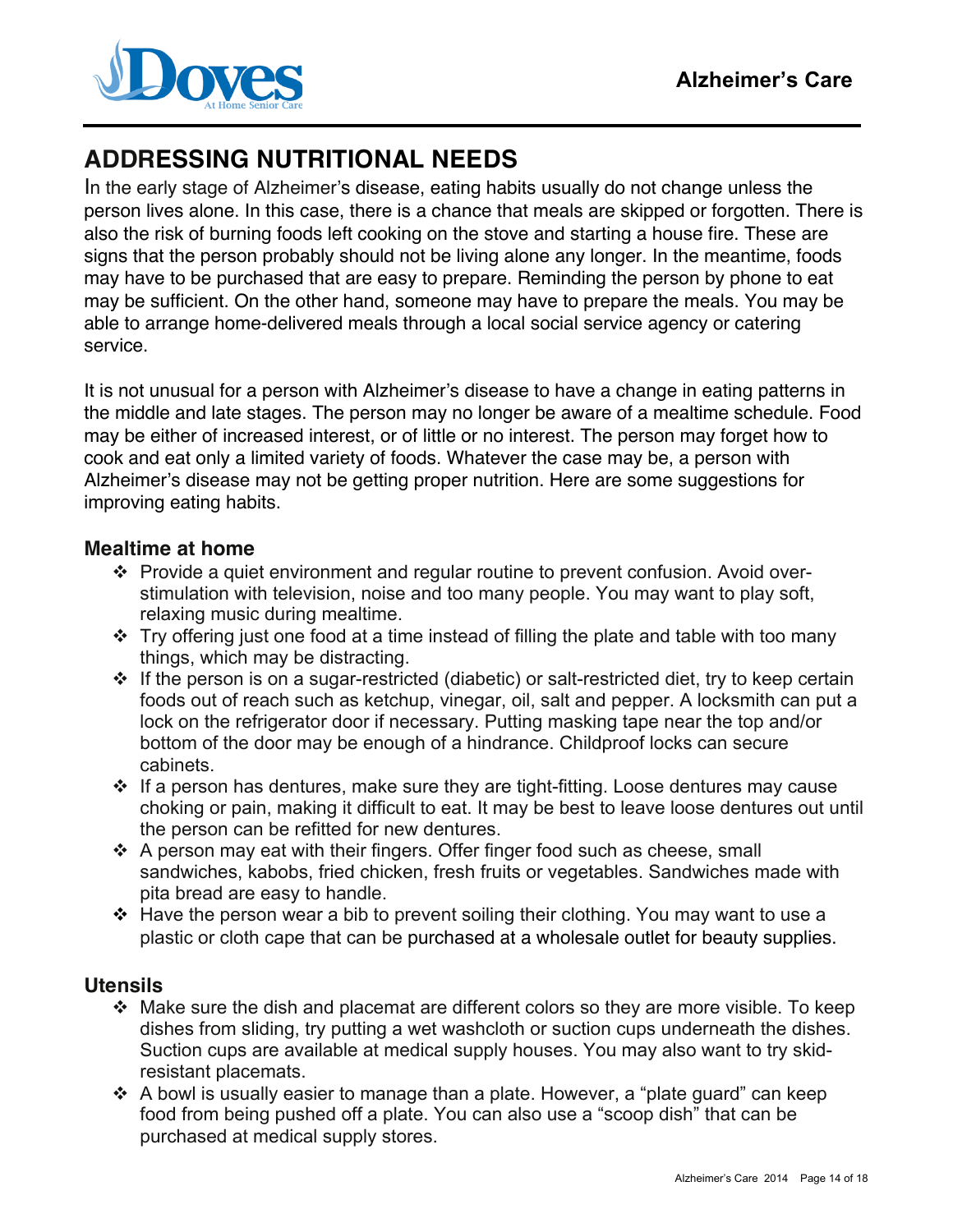

# **ADDRESSING NUTRITIONAL NEEDS**

In the early stage of Alzheimer's disease, eating habits usually do not change unless the person lives alone. In this case, there is a chance that meals are skipped or forgotten. There is also the risk of burning foods left cooking on the stove and starting a house fire. These are signs that the person probably should not be living alone any longer. In the meantime, foods may have to be purchased that are easy to prepare. Reminding the person by phone to eat may be sufficient. On the other hand, someone may have to prepare the meals. You may be able to arrange home-delivered meals through a local social service agency or catering service.

It is not unusual for a person with Alzheimer's disease to have a change in eating patterns in the middle and late stages. The person may no longer be aware of a mealtime schedule. Food may be either of increased interest, or of little or no interest. The person may forget how to cook and eat only a limited variety of foods. Whatever the case may be, a person with Alzheimer's disease may not be getting proper nutrition. Here are some suggestions for improving eating habits.

### **Mealtime at home**

- Provide a quiet environment and regular routine to prevent confusion. Avoid overstimulation with television, noise and too many people. You may want to play soft, relaxing music during mealtime.
- $\cdot \cdot$  Try offering just one food at a time instead of filling the plate and table with too many things, which may be distracting.
- $\cdot$  If the person is on a sugar-restricted (diabetic) or salt-restricted diet, try to keep certain foods out of reach such as ketchup, vinegar, oil, salt and pepper. A locksmith can put a lock on the refrigerator door if necessary. Putting masking tape near the top and/or bottom of the door may be enough of a hindrance. Childproof locks can secure cabinets.
- $\cdot$  If a person has dentures, make sure they are tight-fitting. Loose dentures may cause choking or pain, making it difficult to eat. It may be best to leave loose dentures out until the person can be refitted for new dentures.
- A person may eat with their fingers. Offer finger food such as cheese, small sandwiches, kabobs, fried chicken, fresh fruits or vegetables. Sandwiches made with pita bread are easy to handle.
- $\div$  Have the person wear a bib to prevent soiling their clothing. You may want to use a plastic or cloth cape that can be purchased at a wholesale outlet for beauty supplies.

## **Utensils**

- $\div$  Make sure the dish and placemat are different colors so they are more visible. To keep dishes from sliding, try putting a wet washcloth or suction cups underneath the dishes. Suction cups are available at medical supply houses. You may also want to try skidresistant placemats.
- $\cdot$  A bowl is usually easier to manage than a plate. However, a "plate guard" can keep food from being pushed off a plate. You can also use a "scoop dish" that can be purchased at medical supply stores.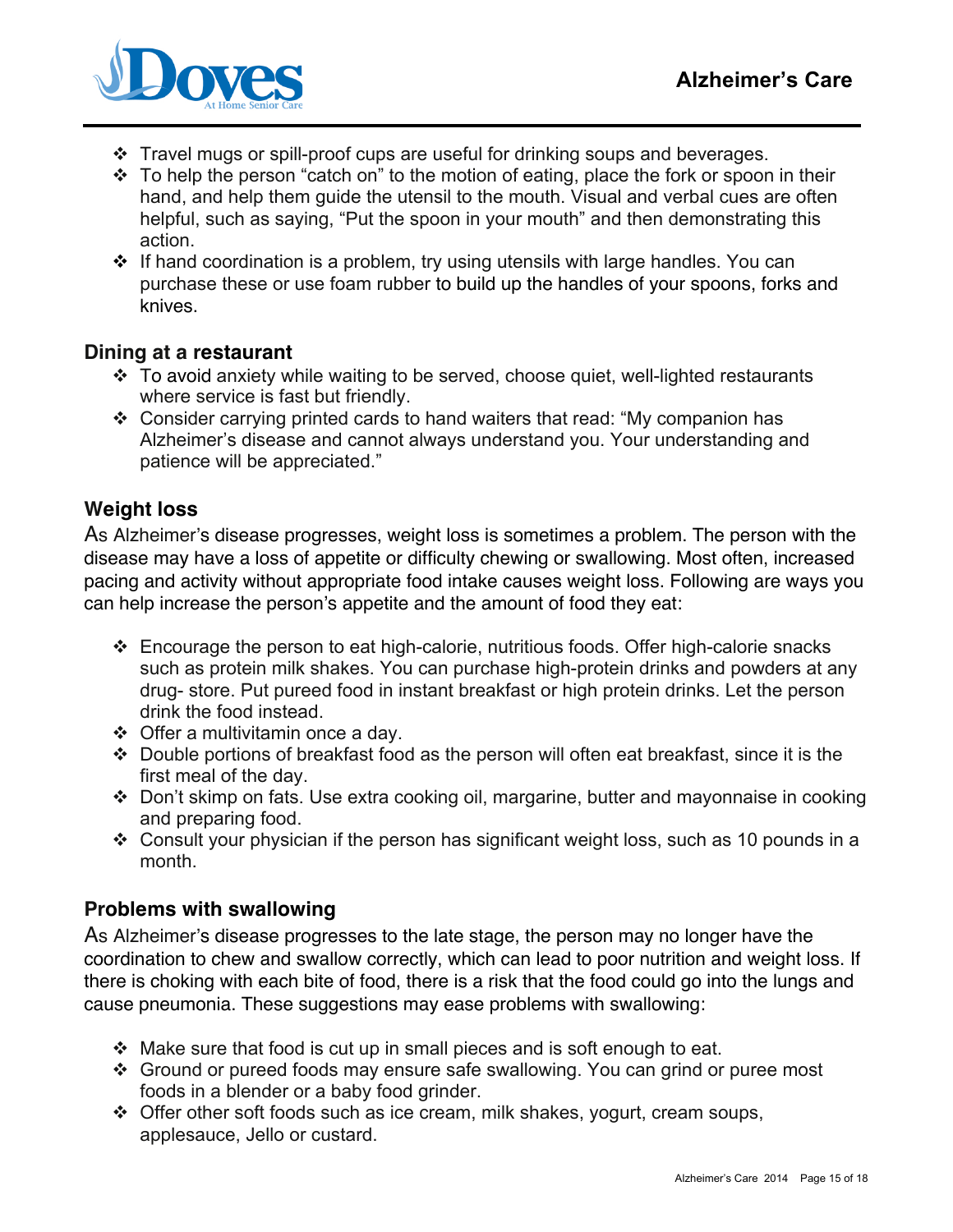

- Travel mugs or spill-proof cups are useful for drinking soups and beverages.
- $\cdot \cdot$  To help the person "catch on" to the motion of eating, place the fork or spoon in their hand, and help them guide the utensil to the mouth. Visual and verbal cues are often helpful, such as saying, "Put the spoon in your mouth" and then demonstrating this action.
- $\div$  If hand coordination is a problem, try using utensils with large handles. You can purchase these or use foam rubber to build up the handles of your spoons, forks and knives.

## **Dining at a restaurant**

- To avoid anxiety while waiting to be served, choose quiet, well-lighted restaurants where service is fast but friendly.
- Consider carrying printed cards to hand waiters that read: "My companion has Alzheimer's disease and cannot always understand you. Your understanding and patience will be appreciated."

## **Weight loss**

As Alzheimer's disease progresses, weight loss is sometimes a problem. The person with the disease may have a loss of appetite or difficulty chewing or swallowing. Most often, increased pacing and activity without appropriate food intake causes weight loss. Following are ways you can help increase the person's appetite and the amount of food they eat:

- Encourage the person to eat high-calorie, nutritious foods. Offer high-calorie snacks such as protein milk shakes. You can purchase high-protein drinks and powders at any drug- store. Put pureed food in instant breakfast or high protein drinks. Let the person drink the food instead.
- $\div$  Offer a multivitamin once a day.
- Double portions of breakfast food as the person will often eat breakfast, since it is the first meal of the day.
- Don't skimp on fats. Use extra cooking oil, margarine, butter and mayonnaise in cooking and preparing food.
- $\div$  Consult your physician if the person has significant weight loss, such as 10 pounds in a month.

## **Problems with swallowing**

As Alzheimer's disease progresses to the late stage, the person may no longer have the coordination to chew and swallow correctly, which can lead to poor nutrition and weight loss. If there is choking with each bite of food, there is a risk that the food could go into the lungs and cause pneumonia. These suggestions may ease problems with swallowing:

- $\cdot$  Make sure that food is cut up in small pieces and is soft enough to eat.
- Ground or pureed foods may ensure safe swallowing. You can grind or puree most foods in a blender or a baby food grinder.
- Offer other soft foods such as ice cream, milk shakes, yogurt, cream soups, applesauce, Jello or custard.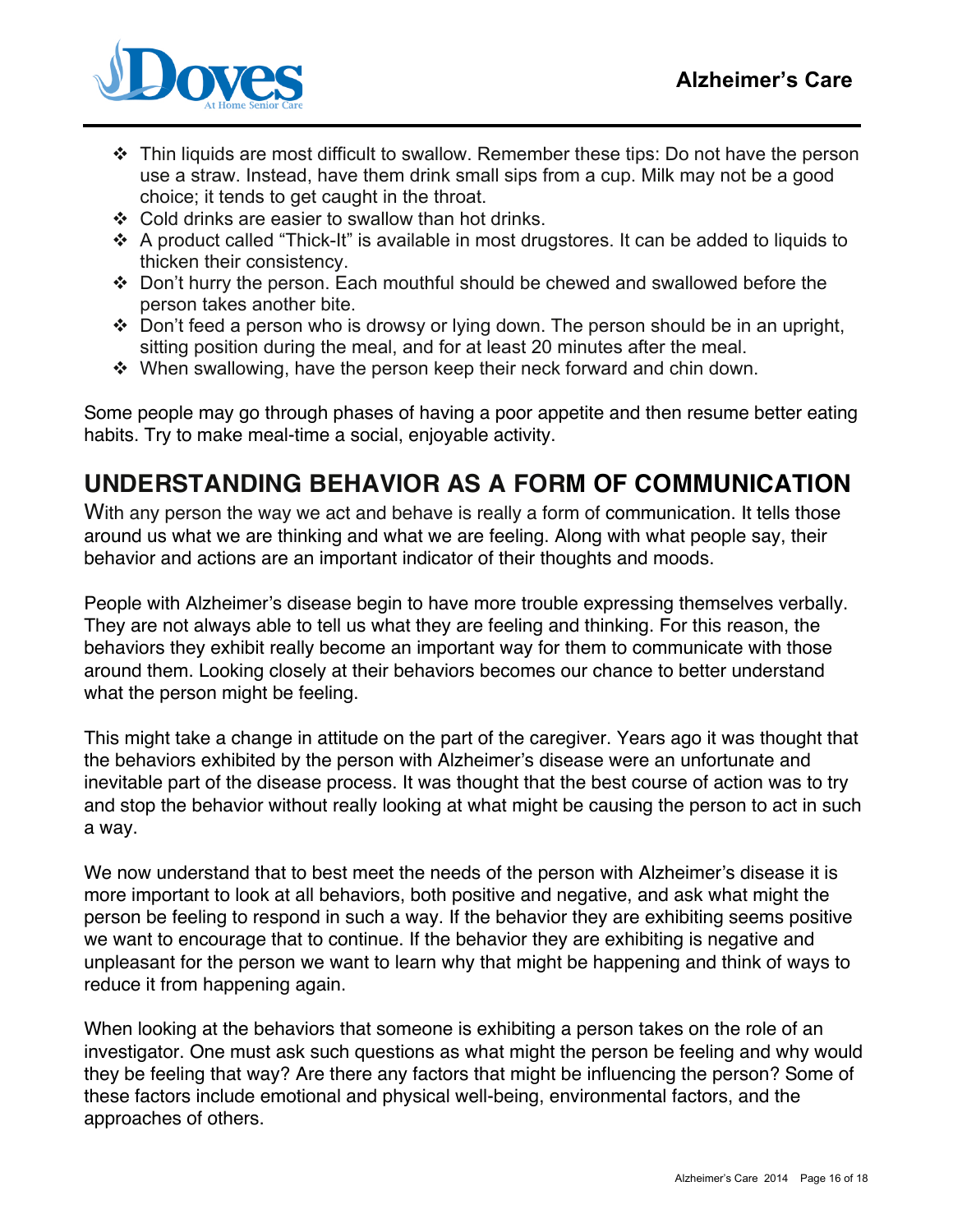

- Thin liquids are most difficult to swallow. Remember these tips: Do not have the person use a straw. Instead, have them drink small sips from a cup. Milk may not be a good choice; it tends to get caught in the throat.
- $\div$  Cold drinks are easier to swallow than hot drinks.
- A product called "Thick-It" is available in most drugstores. It can be added to liquids to thicken their consistency.
- Don't hurry the person. Each mouthful should be chewed and swallowed before the person takes another bite.
- \* Don't feed a person who is drowsy or lying down. The person should be in an upright, sitting position during the meal, and for at least 20 minutes after the meal.
- When swallowing, have the person keep their neck forward and chin down.

Some people may go through phases of having a poor appetite and then resume better eating habits. Try to make meal-time a social, enjoyable activity.

# **UNDERSTANDING BEHAVIOR AS A FORM OF COMMUNICATION**

With any person the way we act and behave is really a form of communication. It tells those around us what we are thinking and what we are feeling. Along with what people say, their behavior and actions are an important indicator of their thoughts and moods.

People with Alzheimer's disease begin to have more trouble expressing themselves verbally. They are not always able to tell us what they are feeling and thinking. For this reason, the behaviors they exhibit really become an important way for them to communicate with those around them. Looking closely at their behaviors becomes our chance to better understand what the person might be feeling.

This might take a change in attitude on the part of the caregiver. Years ago it was thought that the behaviors exhibited by the person with Alzheimer's disease were an unfortunate and inevitable part of the disease process. It was thought that the best course of action was to try and stop the behavior without really looking at what might be causing the person to act in such a way.

We now understand that to best meet the needs of the person with Alzheimer's disease it is more important to look at all behaviors, both positive and negative, and ask what might the person be feeling to respond in such a way. If the behavior they are exhibiting seems positive we want to encourage that to continue. If the behavior they are exhibiting is negative and unpleasant for the person we want to learn why that might be happening and think of ways to reduce it from happening again.

When looking at the behaviors that someone is exhibiting a person takes on the role of an investigator. One must ask such questions as what might the person be feeling and why would they be feeling that way? Are there any factors that might be influencing the person? Some of these factors include emotional and physical well-being, environmental factors, and the approaches of others.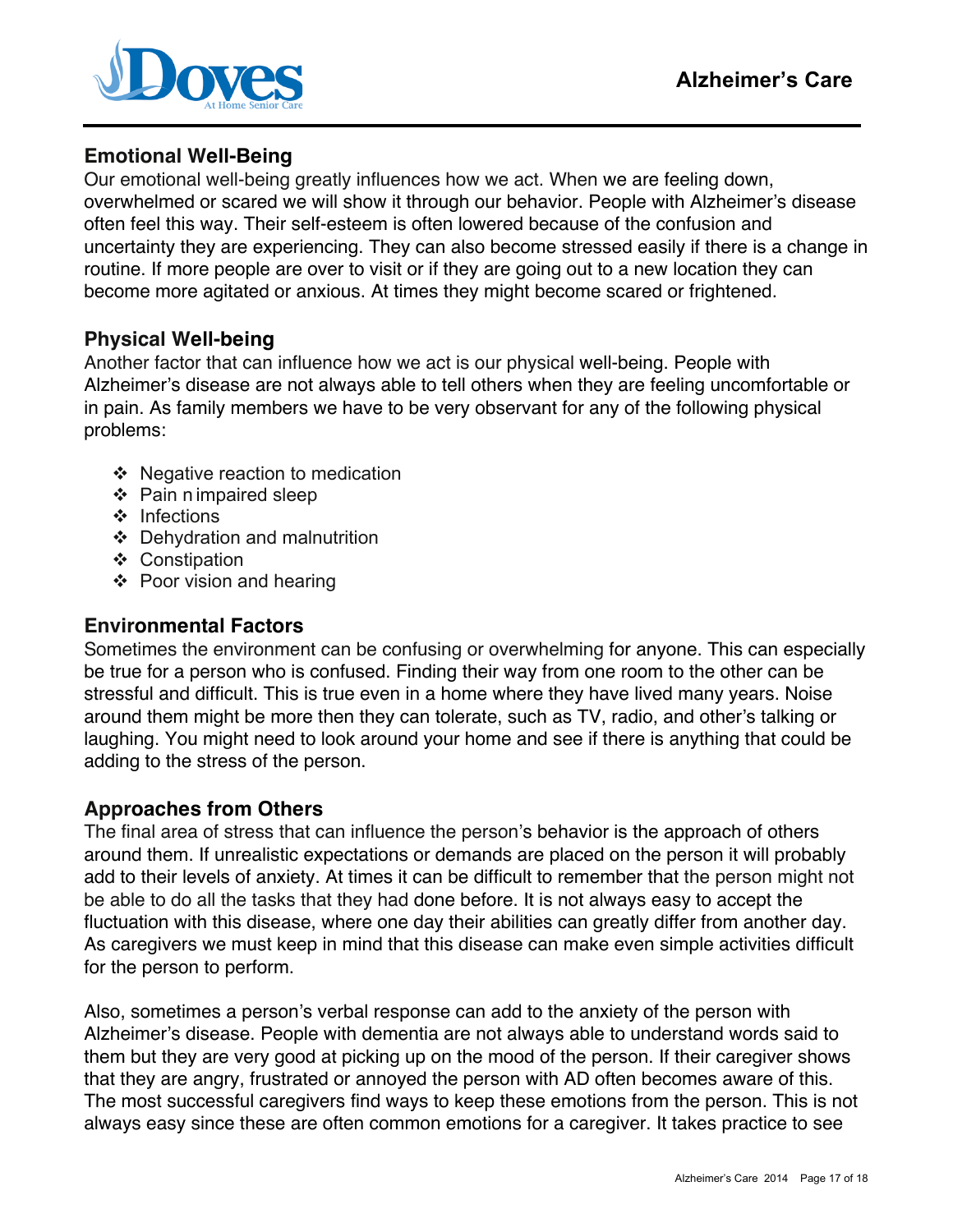

## **Emotional Well-Being**

Our emotional well-being greatly influences how we act. When we are feeling down, overwhelmed or scared we will show it through our behavior. People with Alzheimer's disease often feel this way. Their self-esteem is often lowered because of the confusion and uncertainty they are experiencing. They can also become stressed easily if there is a change in routine. If more people are over to visit or if they are going out to a new location they can become more agitated or anxious. At times they might become scared or frightened.

## **Physical Well-being**

Another factor that can influence how we act is our physical well-being. People with Alzheimer's disease are not always able to tell others when they are feeling uncomfortable or in pain. As family members we have to be very observant for any of the following physical problems:

- $\div$  Negative reaction to medication
- $\div$  Pain n impaired sleep
- ❖ Infections
- Dehydration and malnutrition
- ❖ Constipation
- $\div$  Poor vision and hearing

## **Environmental Factors**

Sometimes the environment can be confusing or overwhelming for anyone. This can especially be true for a person who is confused. Finding their way from one room to the other can be stressful and difficult. This is true even in a home where they have lived many years. Noise around them might be more then they can tolerate, such as TV, radio, and other's talking or laughing. You might need to look around your home and see if there is anything that could be adding to the stress of the person.

## **Approaches from Others**

The final area of stress that can influence the person's behavior is the approach of others around them. If unrealistic expectations or demands are placed on the person it will probably add to their levels of anxiety. At times it can be difficult to remember that the person might not be able to do all the tasks that they had done before. It is not always easy to accept the fluctuation with this disease, where one day their abilities can greatly differ from another day. As caregivers we must keep in mind that this disease can make even simple activities difficult for the person to perform.

Also, sometimes a person's verbal response can add to the anxiety of the person with Alzheimer's disease. People with dementia are not always able to understand words said to them but they are very good at picking up on the mood of the person. If their caregiver shows that they are angry, frustrated or annoyed the person with AD often becomes aware of this. The most successful caregivers find ways to keep these emotions from the person. This is not always easy since these are often common emotions for a caregiver. It takes practice to see